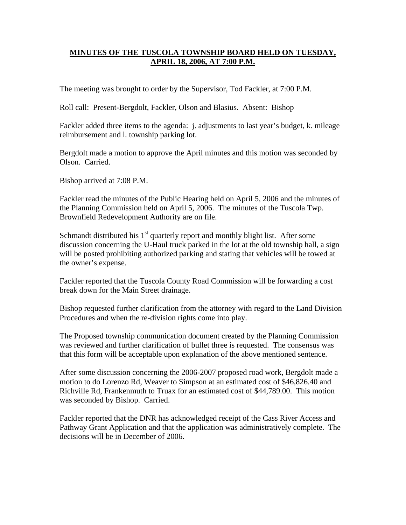## **MINUTES OF THE TUSCOLA TOWNSHIP BOARD HELD ON TUESDAY, APRIL 18, 2006, AT 7:00 P.M.**

The meeting was brought to order by the Supervisor, Tod Fackler, at 7:00 P.M.

Roll call: Present-Bergdolt, Fackler, Olson and Blasius. Absent: Bishop

Fackler added three items to the agenda: j. adjustments to last year's budget, k. mileage reimbursement and l. township parking lot.

Bergdolt made a motion to approve the April minutes and this motion was seconded by Olson. Carried.

Bishop arrived at 7:08 P.M.

Fackler read the minutes of the Public Hearing held on April 5, 2006 and the minutes of the Planning Commission held on April 5, 2006. The minutes of the Tuscola Twp. Brownfield Redevelopment Authority are on file.

Schmandt distributed his  $1<sup>st</sup>$  quarterly report and monthly blight list. After some discussion concerning the U-Haul truck parked in the lot at the old township hall, a sign will be posted prohibiting authorized parking and stating that vehicles will be towed at the owner's expense.

Fackler reported that the Tuscola County Road Commission will be forwarding a cost break down for the Main Street drainage.

Bishop requested further clarification from the attorney with regard to the Land Division Procedures and when the re-division rights come into play.

The Proposed township communication document created by the Planning Commission was reviewed and further clarification of bullet three is requested. The consensus was that this form will be acceptable upon explanation of the above mentioned sentence.

After some discussion concerning the 2006-2007 proposed road work, Bergdolt made a motion to do Lorenzo Rd, Weaver to Simpson at an estimated cost of \$46,826.40 and Richville Rd, Frankenmuth to Truax for an estimated cost of \$44,789.00. This motion was seconded by Bishop. Carried.

Fackler reported that the DNR has acknowledged receipt of the Cass River Access and Pathway Grant Application and that the application was administratively complete. The decisions will be in December of 2006.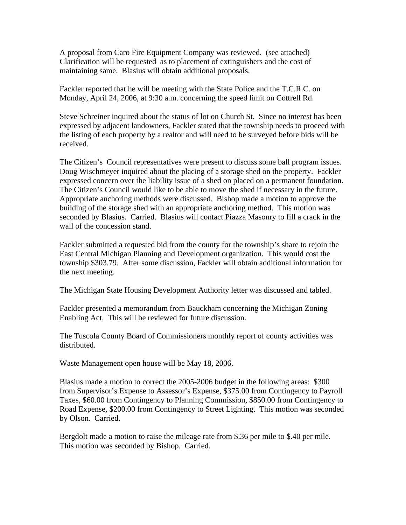A proposal from Caro Fire Equipment Company was reviewed. (see attached) Clarification will be requested as to placement of extinguishers and the cost of maintaining same. Blasius will obtain additional proposals.

Fackler reported that he will be meeting with the State Police and the T.C.R.C. on Monday, April 24, 2006, at 9:30 a.m. concerning the speed limit on Cottrell Rd.

Steve Schreiner inquired about the status of lot on Church St. Since no interest has been expressed by adjacent landowners, Fackler stated that the township needs to proceed with the listing of each property by a realtor and will need to be surveyed before bids will be received.

The Citizen's Council representatives were present to discuss some ball program issues. Doug Wischmeyer inquired about the placing of a storage shed on the property. Fackler expressed concern over the liability issue of a shed on placed on a permanent foundation. The Citizen's Council would like to be able to move the shed if necessary in the future. Appropriate anchoring methods were discussed. Bishop made a motion to approve the building of the storage shed with an appropriate anchoring method. This motion was seconded by Blasius. Carried. Blasius will contact Piazza Masonry to fill a crack in the wall of the concession stand.

Fackler submitted a requested bid from the county for the township's share to rejoin the East Central Michigan Planning and Development organization. This would cost the township \$303.79. After some discussion, Fackler will obtain additional information for the next meeting.

The Michigan State Housing Development Authority letter was discussed and tabled.

Fackler presented a memorandum from Bauckham concerning the Michigan Zoning Enabling Act. This will be reviewed for future discussion.

The Tuscola County Board of Commissioners monthly report of county activities was distributed.

Waste Management open house will be May 18, 2006.

Blasius made a motion to correct the 2005-2006 budget in the following areas: \$300 from Supervisor's Expense to Assessor's Expense, \$375.00 from Contingency to Payroll Taxes, \$60.00 from Contingency to Planning Commission, \$850.00 from Contingency to Road Expense, \$200.00 from Contingency to Street Lighting. This motion was seconded by Olson. Carried.

Bergdolt made a motion to raise the mileage rate from \$.36 per mile to \$.40 per mile. This motion was seconded by Bishop. Carried.